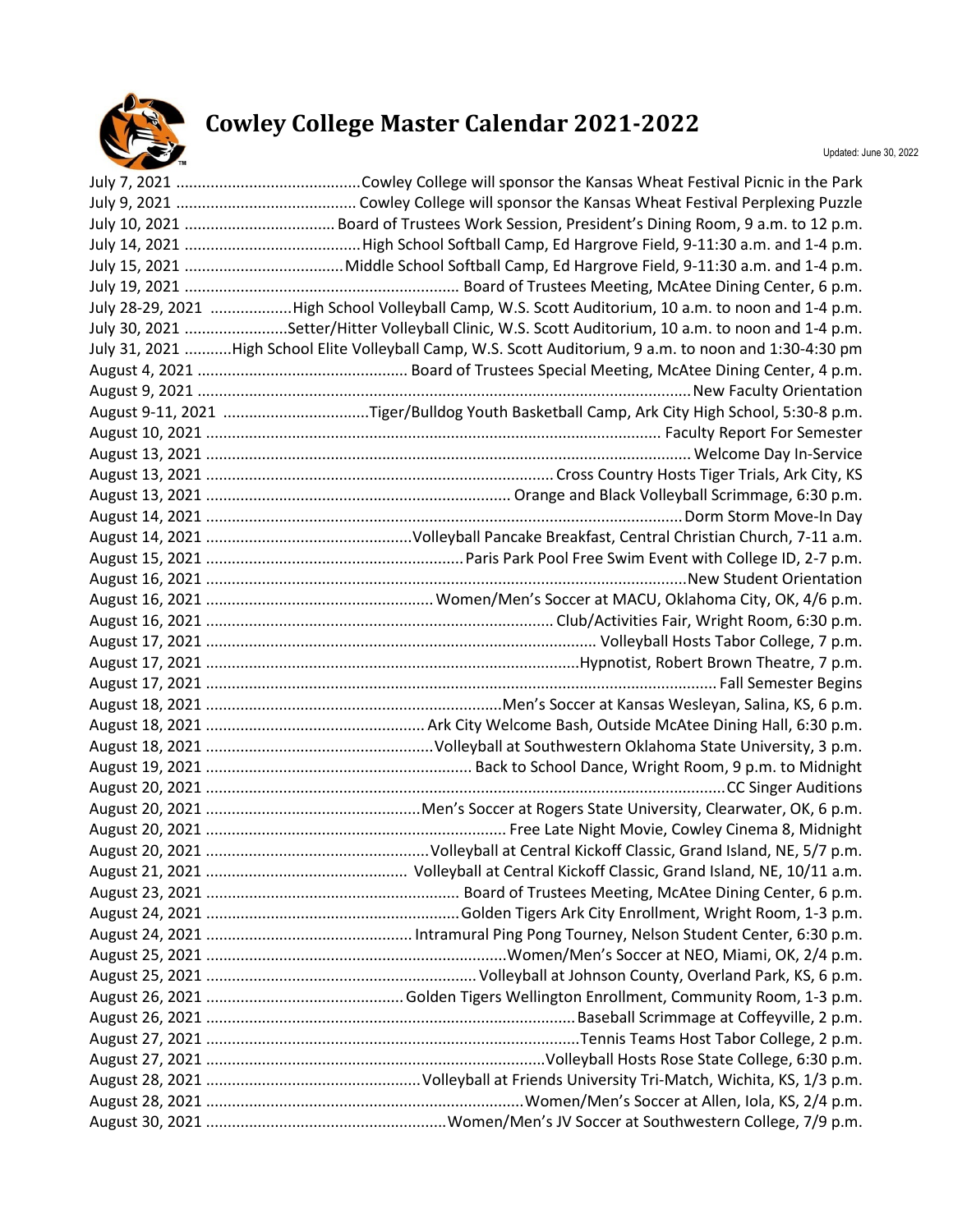

## **Cowley College Master Calendar 2021-2022**

| July 28-29, 2021 High School Volleyball Camp, W.S. Scott Auditorium, 10 a.m. to noon and 1-4 p.m.       |
|---------------------------------------------------------------------------------------------------------|
| July 30, 2021 Setter/Hitter Volleyball Clinic, W.S. Scott Auditorium, 10 a.m. to noon and 1-4 p.m.      |
| July 31, 2021 High School Elite Volleyball Camp, W.S. Scott Auditorium, 9 a.m. to noon and 1:30-4:30 pm |
|                                                                                                         |
|                                                                                                         |
| August 9-11, 2021 Tiger/Bulldog Youth Basketball Camp, Ark City High School, 5:30-8 p.m.                |
|                                                                                                         |
|                                                                                                         |
|                                                                                                         |
|                                                                                                         |
|                                                                                                         |
|                                                                                                         |
|                                                                                                         |
|                                                                                                         |
|                                                                                                         |
|                                                                                                         |
|                                                                                                         |
|                                                                                                         |
|                                                                                                         |
|                                                                                                         |
|                                                                                                         |
|                                                                                                         |
|                                                                                                         |
|                                                                                                         |
|                                                                                                         |
|                                                                                                         |
|                                                                                                         |
|                                                                                                         |
|                                                                                                         |
|                                                                                                         |
|                                                                                                         |
|                                                                                                         |
|                                                                                                         |
|                                                                                                         |
|                                                                                                         |
|                                                                                                         |
|                                                                                                         |
|                                                                                                         |
|                                                                                                         |
|                                                                                                         |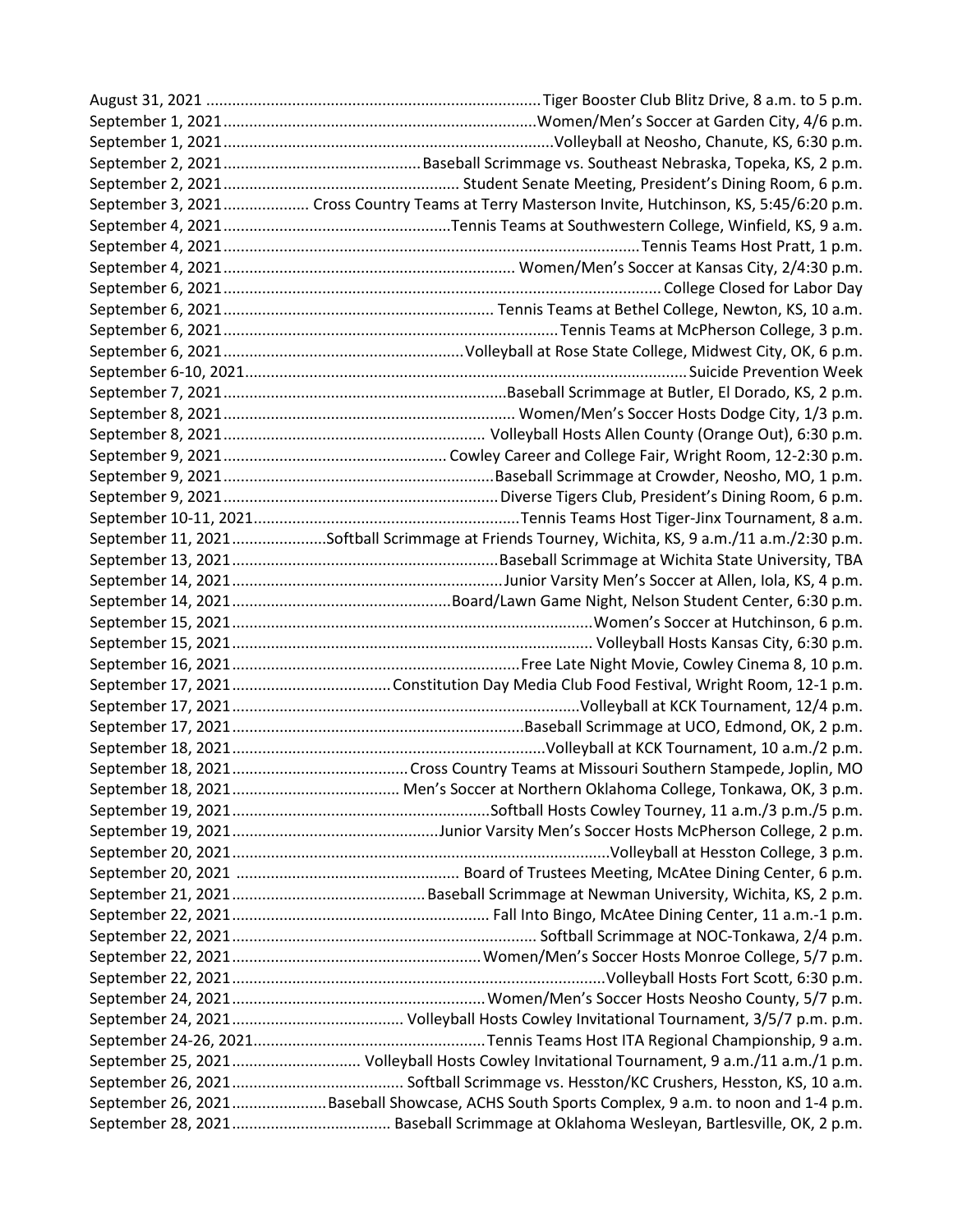| September 3, 2021 Cross Country Teams at Terry Masterson Invite, Hutchinson, KS, 5:45/6:20 p.m. |
|-------------------------------------------------------------------------------------------------|
|                                                                                                 |
|                                                                                                 |
|                                                                                                 |
|                                                                                                 |
|                                                                                                 |
|                                                                                                 |
|                                                                                                 |
|                                                                                                 |
|                                                                                                 |
|                                                                                                 |
|                                                                                                 |
|                                                                                                 |
|                                                                                                 |
|                                                                                                 |
|                                                                                                 |
| September 11, 2021Softball Scrimmage at Friends Tourney, Wichita, KS, 9 a.m./11 a.m./2:30 p.m.  |
|                                                                                                 |
|                                                                                                 |
|                                                                                                 |
|                                                                                                 |
|                                                                                                 |
|                                                                                                 |
|                                                                                                 |
|                                                                                                 |
|                                                                                                 |
|                                                                                                 |
|                                                                                                 |
|                                                                                                 |
|                                                                                                 |
|                                                                                                 |
|                                                                                                 |
|                                                                                                 |
|                                                                                                 |
|                                                                                                 |
|                                                                                                 |
|                                                                                                 |
|                                                                                                 |
|                                                                                                 |
|                                                                                                 |
|                                                                                                 |
|                                                                                                 |
| September 25, 2021 Volleyball Hosts Cowley Invitational Tournament, 9 a.m./11 a.m./1 p.m.       |
|                                                                                                 |
| September 26, 2021Baseball Showcase, ACHS South Sports Complex, 9 a.m. to noon and 1-4 p.m.     |
|                                                                                                 |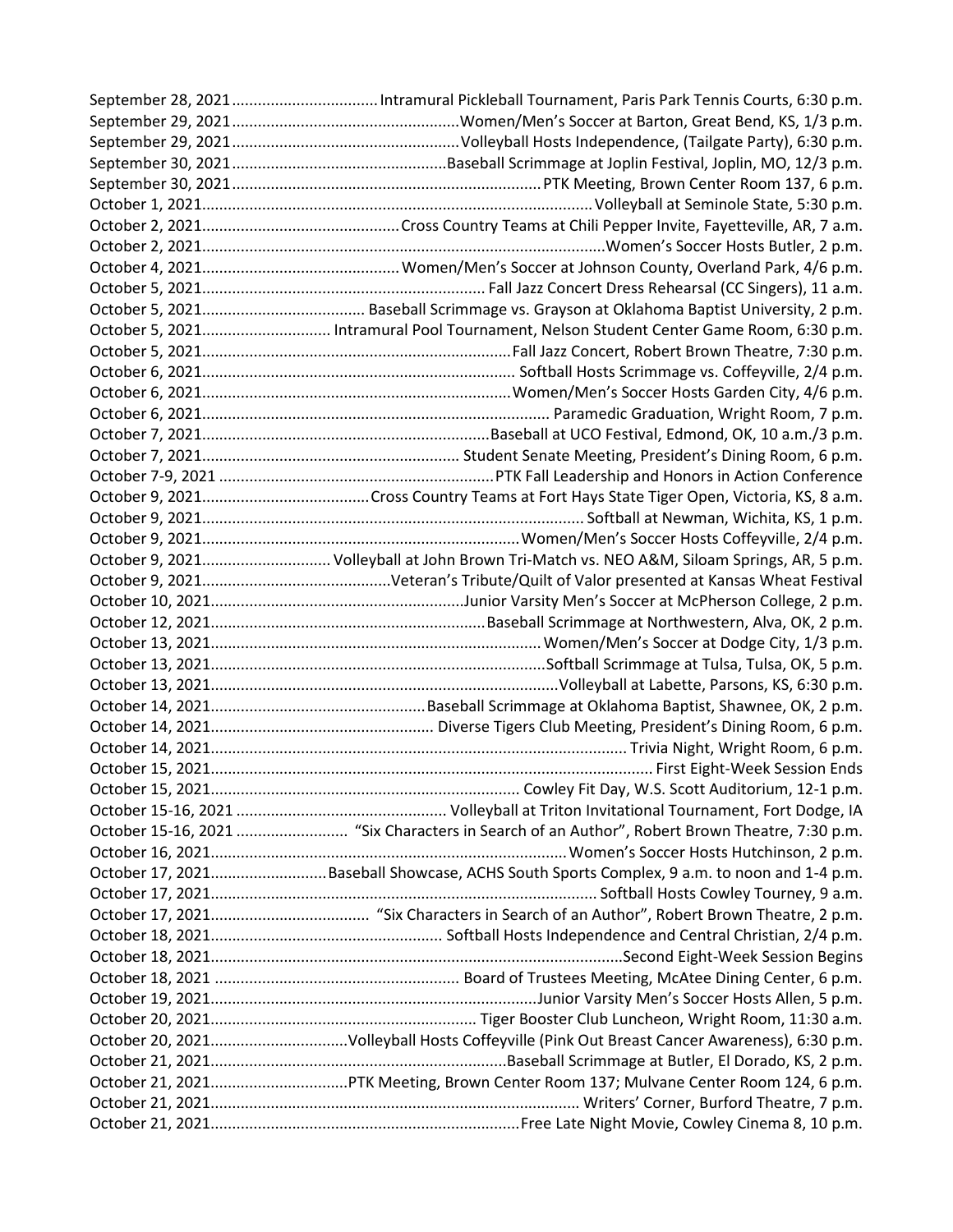| October 5, 2021 Intramural Pool Tournament, Nelson Student Center Game Room, 6:30 p.m.     |
|--------------------------------------------------------------------------------------------|
|                                                                                            |
|                                                                                            |
|                                                                                            |
|                                                                                            |
|                                                                                            |
|                                                                                            |
|                                                                                            |
|                                                                                            |
|                                                                                            |
|                                                                                            |
| October 9, 2021 Volleyball at John Brown Tri-Match vs. NEO A&M, Siloam Springs, AR, 5 p.m. |
|                                                                                            |
|                                                                                            |
|                                                                                            |
|                                                                                            |
|                                                                                            |
|                                                                                            |
|                                                                                            |
|                                                                                            |
|                                                                                            |
|                                                                                            |
|                                                                                            |
|                                                                                            |
|                                                                                            |
|                                                                                            |
|                                                                                            |
| October 17, 2021Baseball Showcase, ACHS South Sports Complex, 9 a.m. to noon and 1-4 p.m.  |
|                                                                                            |
|                                                                                            |
|                                                                                            |
|                                                                                            |
|                                                                                            |
|                                                                                            |
|                                                                                            |
| October 20, 2021Volleyball Hosts Coffeyville (Pink Out Breast Cancer Awareness), 6:30 p.m. |
|                                                                                            |
| October 21, 2021PTK Meeting, Brown Center Room 137; Mulvane Center Room 124, 6 p.m.        |
|                                                                                            |
|                                                                                            |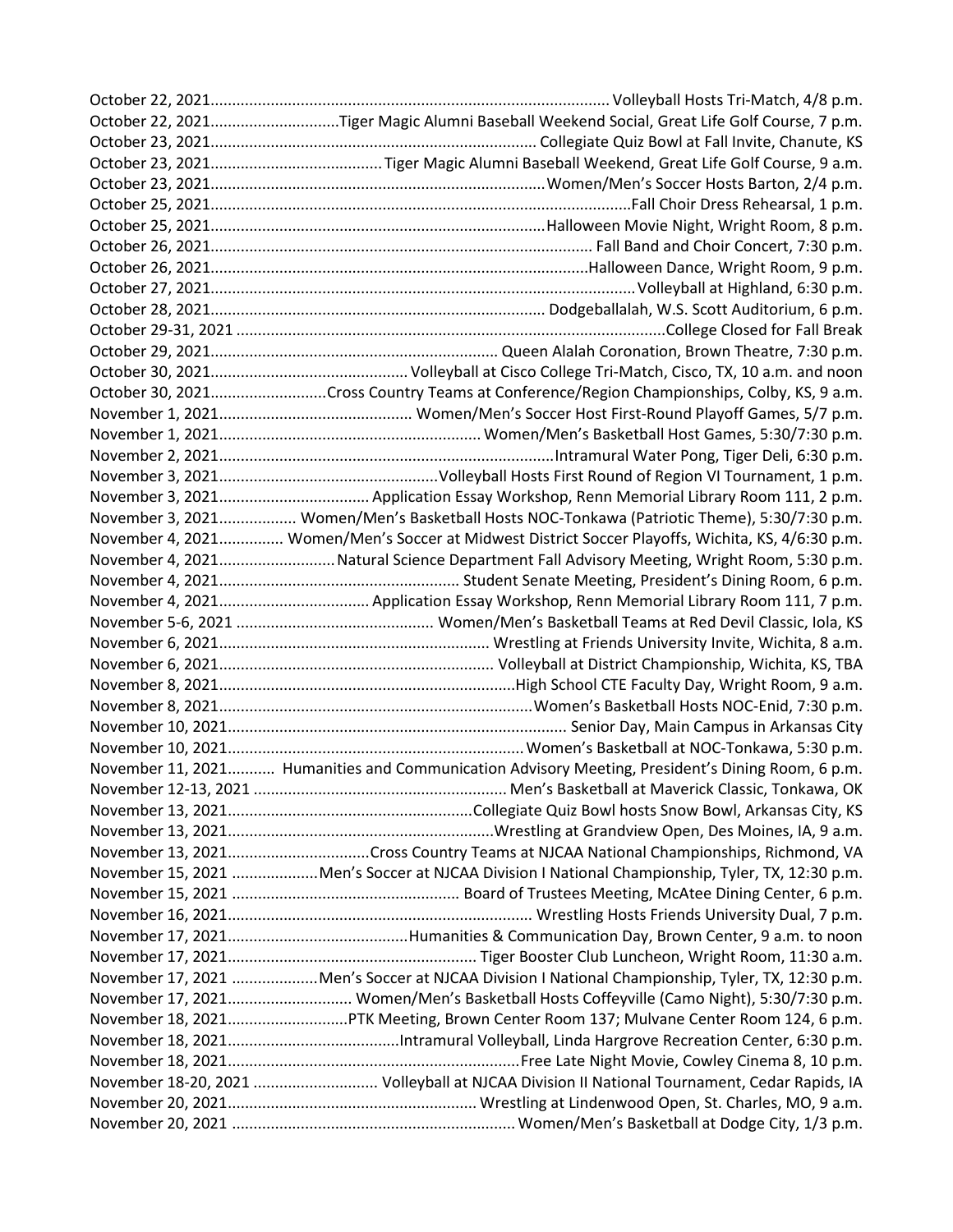| October 22, 2021Tiger Magic Alumni Baseball Weekend Social, Great Life Golf Course, 7 p.m.        |
|---------------------------------------------------------------------------------------------------|
|                                                                                                   |
|                                                                                                   |
|                                                                                                   |
|                                                                                                   |
|                                                                                                   |
|                                                                                                   |
|                                                                                                   |
|                                                                                                   |
|                                                                                                   |
|                                                                                                   |
|                                                                                                   |
|                                                                                                   |
| October 30, 2021Cross Country Teams at Conference/Region Championships, Colby, KS, 9 a.m.         |
|                                                                                                   |
|                                                                                                   |
|                                                                                                   |
|                                                                                                   |
|                                                                                                   |
| November 3, 2021 Women/Men's Basketball Hosts NOC-Tonkawa (Patriotic Theme), 5:30/7:30 p.m.       |
| November 4, 2021 Women/Men's Soccer at Midwest District Soccer Playoffs, Wichita, KS, 4/6:30 p.m. |
| November 4, 2021 Natural Science Department Fall Advisory Meeting, Wright Room, 5:30 p.m.         |
|                                                                                                   |
|                                                                                                   |
| November 4, 2021 Application Essay Workshop, Renn Memorial Library Room 111, 7 p.m.               |
|                                                                                                   |
|                                                                                                   |
|                                                                                                   |
|                                                                                                   |
|                                                                                                   |
|                                                                                                   |
|                                                                                                   |
| November 11, 2021 Humanities and Communication Advisory Meeting, President's Dining Room, 6 p.m.  |
|                                                                                                   |
|                                                                                                   |
|                                                                                                   |
|                                                                                                   |
| November 15, 2021 Men's Soccer at NJCAA Division I National Championship, Tyler, TX, 12:30 p.m.   |
|                                                                                                   |
|                                                                                                   |
|                                                                                                   |
|                                                                                                   |
| November 17, 2021 Men's Soccer at NJCAA Division I National Championship, Tyler, TX, 12:30 p.m.   |
| November 17, 2021 Women/Men's Basketball Hosts Coffeyville (Camo Night), 5:30/7:30 p.m.           |
| November 18, 2021PTK Meeting, Brown Center Room 137; Mulvane Center Room 124, 6 p.m.              |
|                                                                                                   |
|                                                                                                   |
| November 18-20, 2021  Volleyball at NJCAA Division II National Tournament, Cedar Rapids, IA       |
|                                                                                                   |
|                                                                                                   |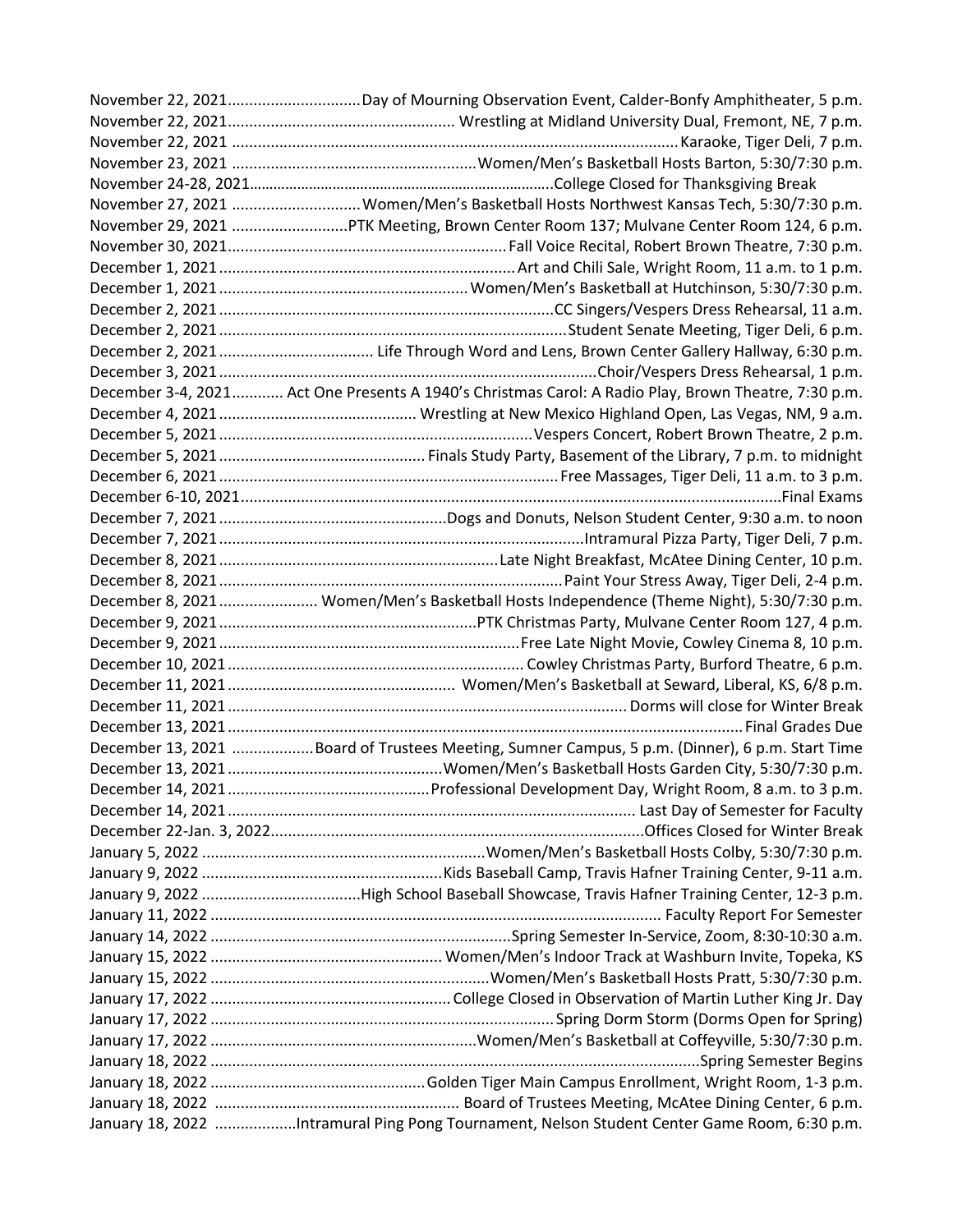| November 22, 2021Day of Mourning Observation Event, Calder-Bonfy Amphitheater, 5 p.m.                |
|------------------------------------------------------------------------------------------------------|
|                                                                                                      |
|                                                                                                      |
|                                                                                                      |
|                                                                                                      |
| November 27, 2021 Women/Men's Basketball Hosts Northwest Kansas Tech, 5:30/7:30 p.m.                 |
| November 29, 2021 PTK Meeting, Brown Center Room 137; Mulvane Center Room 124, 6 p.m.                |
|                                                                                                      |
|                                                                                                      |
|                                                                                                      |
|                                                                                                      |
|                                                                                                      |
|                                                                                                      |
|                                                                                                      |
| December 3-4, 2021 Act One Presents A 1940's Christmas Carol: A Radio Play, Brown Theatre, 7:30 p.m. |
|                                                                                                      |
|                                                                                                      |
|                                                                                                      |
|                                                                                                      |
|                                                                                                      |
|                                                                                                      |
|                                                                                                      |
|                                                                                                      |
|                                                                                                      |
| December 8, 2021  Women/Men's Basketball Hosts Independence (Theme Night), 5:30/7:30 p.m.            |
|                                                                                                      |
|                                                                                                      |
|                                                                                                      |
|                                                                                                      |
|                                                                                                      |
|                                                                                                      |
|                                                                                                      |
| December 13, 2021 Board of Trustees Meeting, Sumner Campus, 5 p.m. (Dinner), 6 p.m. Start Time       |
|                                                                                                      |
|                                                                                                      |
|                                                                                                      |
|                                                                                                      |
|                                                                                                      |
|                                                                                                      |
|                                                                                                      |
|                                                                                                      |
|                                                                                                      |
|                                                                                                      |
|                                                                                                      |
|                                                                                                      |
|                                                                                                      |
|                                                                                                      |
|                                                                                                      |
|                                                                                                      |
|                                                                                                      |
| January 18, 2022 Intramural Ping Pong Tournament, Nelson Student Center Game Room, 6:30 p.m.         |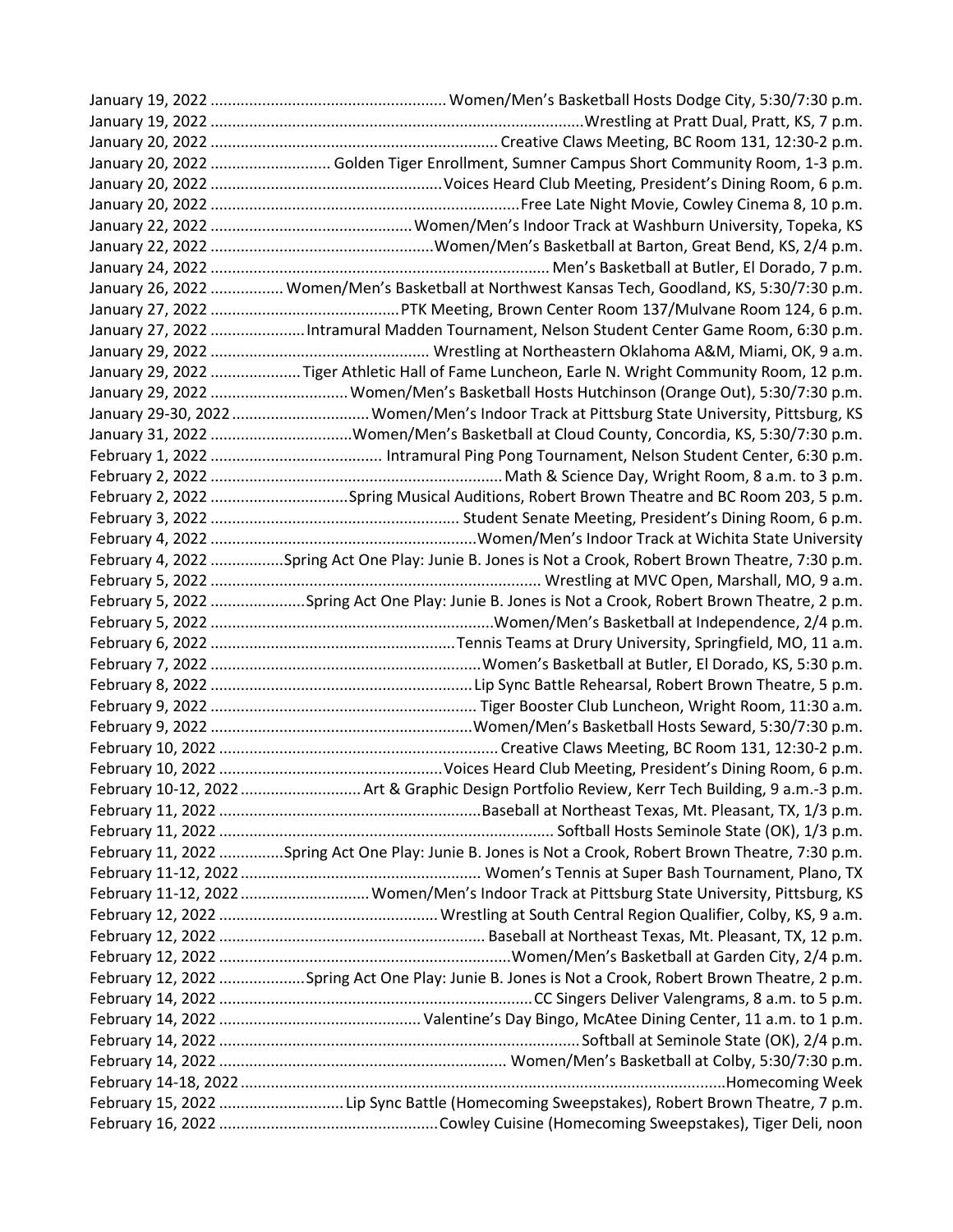| January 20, 2022  Golden Tiger Enrollment, Sumner Campus Short Community Room, 1-3 p.m.               |
|-------------------------------------------------------------------------------------------------------|
|                                                                                                       |
|                                                                                                       |
|                                                                                                       |
|                                                                                                       |
|                                                                                                       |
| January 26, 2022  Women/Men's Basketball at Northwest Kansas Tech, Goodland, KS, 5:30/7:30 p.m.       |
|                                                                                                       |
| January 27, 2022 Intramural Madden Tournament, Nelson Student Center Game Room, 6:30 p.m.             |
|                                                                                                       |
| January 29, 2022 Tiger Athletic Hall of Fame Luncheon, Earle N. Wright Community Room, 12 p.m.        |
| January 29, 2022  Women/Men's Basketball Hosts Hutchinson (Orange Out), 5:30/7:30 p.m.                |
| January 29-30, 2022  Women/Men's Indoor Track at Pittsburg State University, Pittsburg, KS            |
| January 31, 2022 Women/Men's Basketball at Cloud County, Concordia, KS, 5:30/7:30 p.m.                |
|                                                                                                       |
|                                                                                                       |
|                                                                                                       |
|                                                                                                       |
|                                                                                                       |
| February 4, 2022 Spring Act One Play: Junie B. Jones is Not a Crook, Robert Brown Theatre, 7:30 p.m.  |
|                                                                                                       |
| February 5, 2022 Spring Act One Play: Junie B. Jones is Not a Crook, Robert Brown Theatre, 2 p.m.     |
|                                                                                                       |
|                                                                                                       |
|                                                                                                       |
|                                                                                                       |
|                                                                                                       |
|                                                                                                       |
|                                                                                                       |
|                                                                                                       |
| February 10-12, 2022  Art & Graphic Design Portfolio Review, Kerr Tech Building, 9 a.m.-3 p.m.        |
|                                                                                                       |
|                                                                                                       |
| February 11, 2022 Spring Act One Play: Junie B. Jones is Not a Crook, Robert Brown Theatre, 7:30 p.m. |
|                                                                                                       |
| February 11-12, 2022  Women/Men's Indoor Track at Pittsburg State University, Pittsburg, KS           |
|                                                                                                       |
|                                                                                                       |
|                                                                                                       |
| February 12, 2022 Spring Act One Play: Junie B. Jones is Not a Crook, Robert Brown Theatre, 2 p.m.    |
|                                                                                                       |
|                                                                                                       |
|                                                                                                       |
|                                                                                                       |
|                                                                                                       |
| February 15, 2022 Lip Sync Battle (Homecoming Sweepstakes), Robert Brown Theatre, 7 p.m.              |
|                                                                                                       |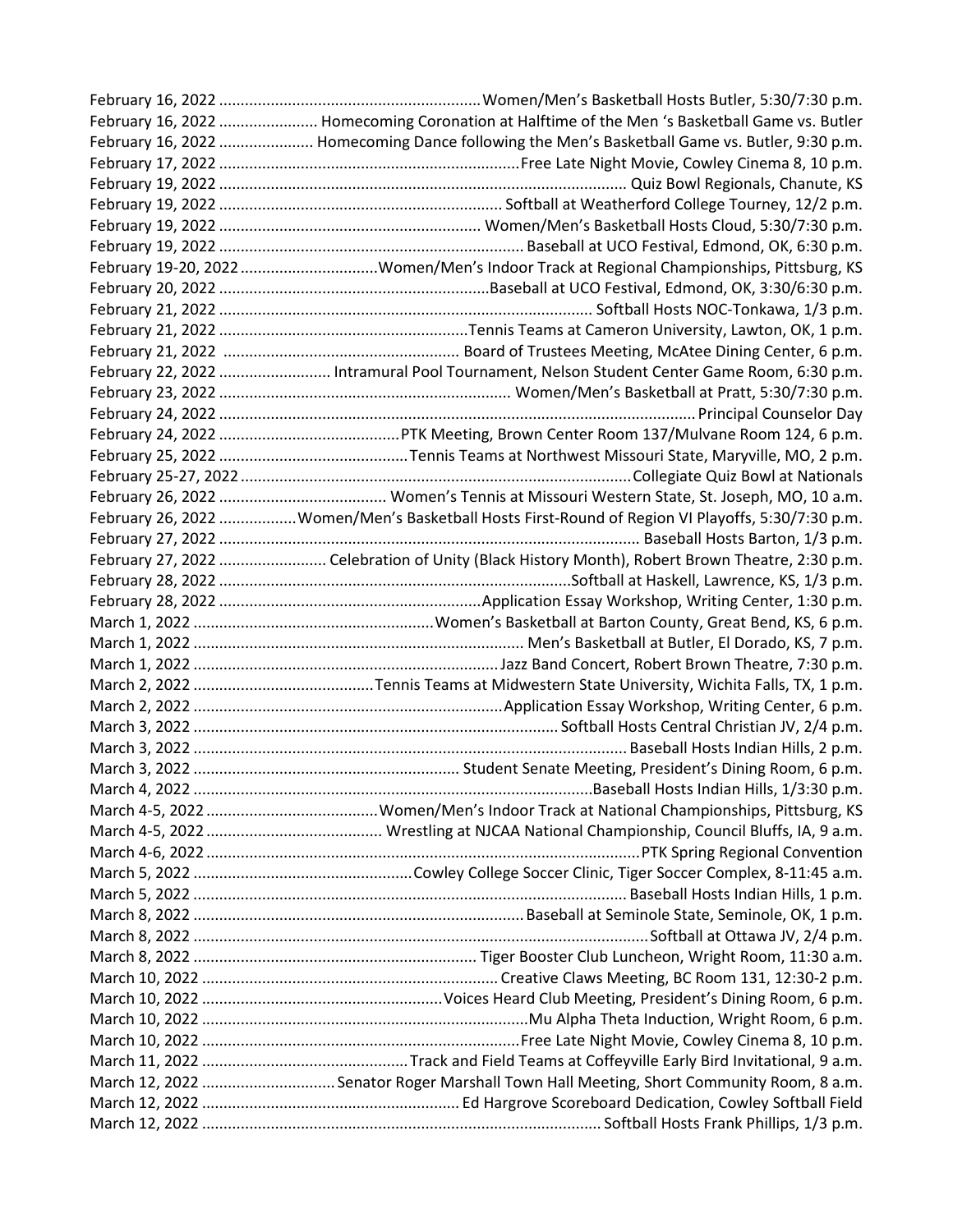| February 16, 2022  Homecoming Coronation at Halftime of the Men 's Basketball Game vs. Butler    |
|--------------------------------------------------------------------------------------------------|
| February 16, 2022  Homecoming Dance following the Men's Basketball Game vs. Butler, 9:30 p.m.    |
|                                                                                                  |
|                                                                                                  |
|                                                                                                  |
|                                                                                                  |
|                                                                                                  |
| February 19-20, 2022 Women/Men's Indoor Track at Regional Championships, Pittsburg, KS           |
|                                                                                                  |
|                                                                                                  |
|                                                                                                  |
|                                                                                                  |
| February 22, 2022  Intramural Pool Tournament, Nelson Student Center Game Room, 6:30 p.m.        |
|                                                                                                  |
|                                                                                                  |
|                                                                                                  |
|                                                                                                  |
|                                                                                                  |
|                                                                                                  |
| February 26, 2022 Women/Men's Basketball Hosts First-Round of Region VI Playoffs, 5:30/7:30 p.m. |
|                                                                                                  |
| February 27, 2022  Celebration of Unity (Black History Month), Robert Brown Theatre, 2:30 p.m.   |
|                                                                                                  |
|                                                                                                  |
|                                                                                                  |
|                                                                                                  |
|                                                                                                  |
|                                                                                                  |
|                                                                                                  |
|                                                                                                  |
|                                                                                                  |
|                                                                                                  |
|                                                                                                  |
|                                                                                                  |
|                                                                                                  |
|                                                                                                  |
|                                                                                                  |
|                                                                                                  |
|                                                                                                  |
|                                                                                                  |
|                                                                                                  |
|                                                                                                  |
|                                                                                                  |
|                                                                                                  |
|                                                                                                  |
|                                                                                                  |
|                                                                                                  |
| March 12, 2022  Senator Roger Marshall Town Hall Meeting, Short Community Room, 8 a.m.           |
|                                                                                                  |
|                                                                                                  |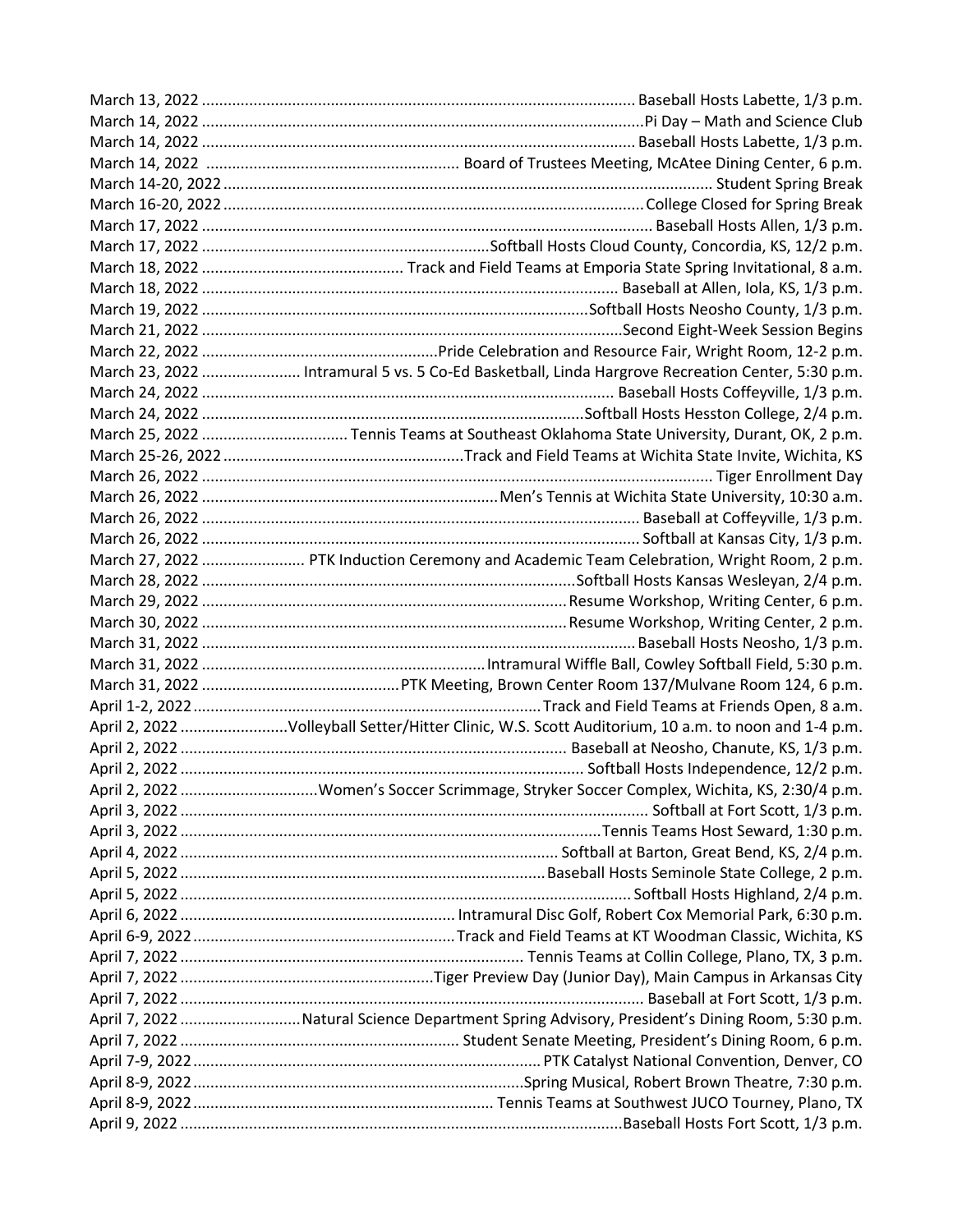| March 23, 2022  Intramural 5 vs. 5 Co-Ed Basketball, Linda Hargrove Recreation Center, 5:30 p.m.   |
|----------------------------------------------------------------------------------------------------|
|                                                                                                    |
|                                                                                                    |
|                                                                                                    |
|                                                                                                    |
|                                                                                                    |
|                                                                                                    |
|                                                                                                    |
|                                                                                                    |
| March 27, 2022  PTK Induction Ceremony and Academic Team Celebration, Wright Room, 2 p.m.          |
|                                                                                                    |
|                                                                                                    |
|                                                                                                    |
|                                                                                                    |
|                                                                                                    |
|                                                                                                    |
|                                                                                                    |
|                                                                                                    |
| April 2, 2022 Volleyball Setter/Hitter Clinic, W.S. Scott Auditorium, 10 a.m. to noon and 1-4 p.m. |
|                                                                                                    |
|                                                                                                    |
|                                                                                                    |
|                                                                                                    |
|                                                                                                    |
|                                                                                                    |
|                                                                                                    |
|                                                                                                    |
|                                                                                                    |
|                                                                                                    |
|                                                                                                    |
|                                                                                                    |
|                                                                                                    |
| April 7, 2022 Natural Science Department Spring Advisory, President's Dining Room, 5:30 p.m.       |
|                                                                                                    |
|                                                                                                    |
|                                                                                                    |
|                                                                                                    |
|                                                                                                    |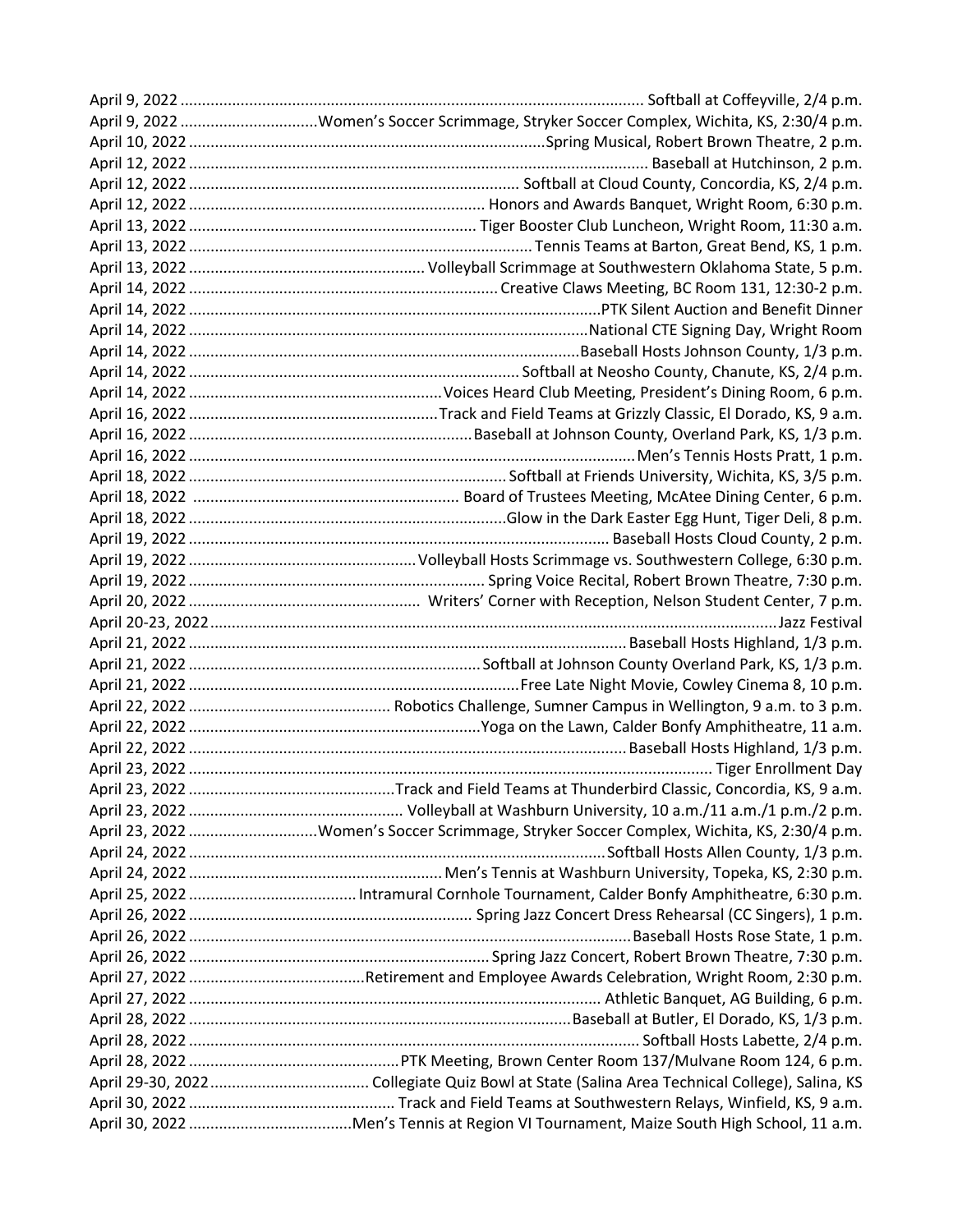| April 9, 2022 Women's Soccer Scrimmage, Stryker Soccer Complex, Wichita, KS, 2:30/4 p.m.  |
|-------------------------------------------------------------------------------------------|
|                                                                                           |
|                                                                                           |
|                                                                                           |
|                                                                                           |
|                                                                                           |
|                                                                                           |
|                                                                                           |
|                                                                                           |
|                                                                                           |
|                                                                                           |
|                                                                                           |
|                                                                                           |
|                                                                                           |
|                                                                                           |
|                                                                                           |
|                                                                                           |
|                                                                                           |
|                                                                                           |
|                                                                                           |
|                                                                                           |
|                                                                                           |
|                                                                                           |
|                                                                                           |
|                                                                                           |
|                                                                                           |
|                                                                                           |
|                                                                                           |
|                                                                                           |
|                                                                                           |
|                                                                                           |
|                                                                                           |
|                                                                                           |
|                                                                                           |
| April 23, 2022 Women's Soccer Scrimmage, Stryker Soccer Complex, Wichita, KS, 2:30/4 p.m. |
|                                                                                           |
|                                                                                           |
|                                                                                           |
|                                                                                           |
|                                                                                           |
|                                                                                           |
|                                                                                           |
|                                                                                           |
|                                                                                           |
|                                                                                           |
|                                                                                           |
|                                                                                           |
|                                                                                           |
|                                                                                           |